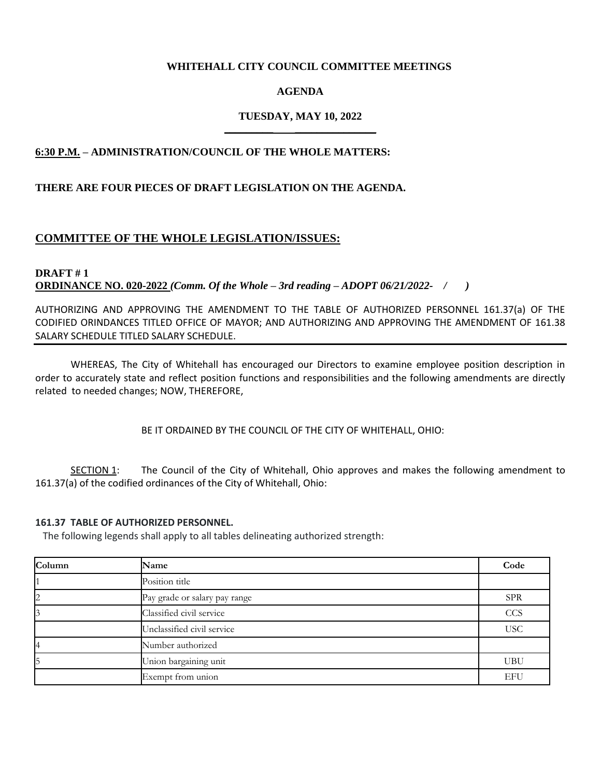### **WHITEHALL CITY COUNCIL COMMITTEE MEETINGS**

### **AGENDA**

#### **TUESDAY, MAY 10, 2022 \_\_\_\_\_\_\_\_\_ \_\_\_\_\_\_\_\_\_\_\_\_\_\_\_**

### **6:30 P.M. – ADMINISTRATION/COUNCIL OF THE WHOLE MATTERS:**

#### **THERE ARE FOUR PIECES OF DRAFT LEGISLATION ON THE AGENDA.**

### **COMMITTEE OF THE WHOLE LEGISLATION/ISSUES:**

**DRAFT # 1 ORDINANCE NO. 020-2022** *(Comm. Of the Whole – 3rd reading – ADOPT 06/21/2022- / )*

AUTHORIZING AND APPROVING THE AMENDMENT TO THE TABLE OF AUTHORIZED PERSONNEL 161.37(a) OF THE CODIFIED ORINDANCES TITLED OFFICE OF MAYOR; AND AUTHORIZING AND APPROVING THE AMENDMENT OF 161.38 SALARY SCHEDULE TITLED SALARY SCHEDULE.

WHEREAS, The City of Whitehall has encouraged our Directors to examine employee position description in order to accurately state and reflect position functions and responsibilities and the following amendments are directly related to needed changes; NOW, THEREFORE,

BE IT ORDAINED BY THE COUNCIL OF THE CITY OF WHITEHALL, OHIO:

SECTION 1: The Council of the City of Whitehall, Ohio approves and makes the following amendment to 161.37(a) of the codified ordinances of the City of Whitehall, Ohio:

#### **161.37 TABLE OF AUTHORIZED PERSONNEL.**

The following legends shall apply to all tables delineating authorized strength:

| Column | Name                          | Code       |
|--------|-------------------------------|------------|
|        | Position title                |            |
|        | Pay grade or salary pay range | <b>SPR</b> |
|        | Classified civil service      | <b>CCS</b> |
|        | Unclassified civil service    | <b>USC</b> |
|        | Number authorized             |            |
|        | Union bargaining unit         | <b>UBU</b> |
|        | Exempt from union             | EFU        |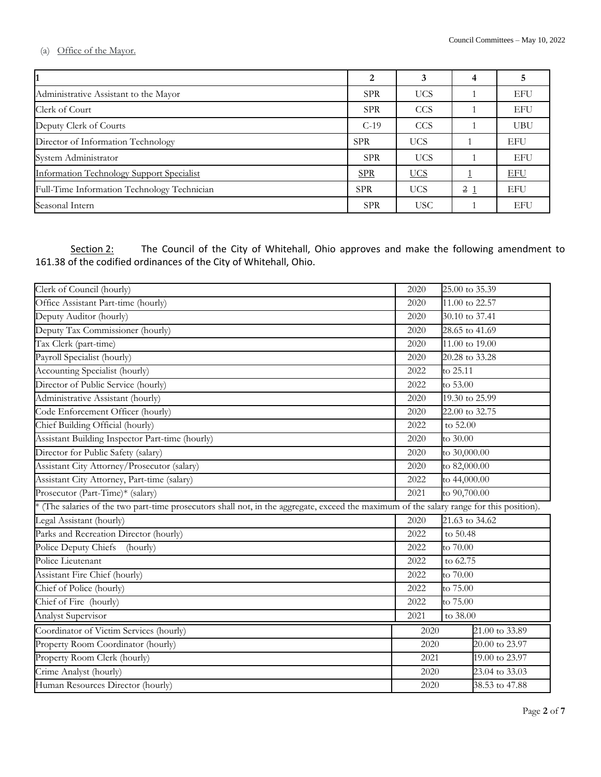(a) Office of the Mayor.

| 1                                           | 2          | 3          |                |            |
|---------------------------------------------|------------|------------|----------------|------------|
| Administrative Assistant to the Mayor       | <b>SPR</b> | <b>UCS</b> |                | <b>EFU</b> |
| Clerk of Court                              | <b>SPR</b> | CCS        |                | <b>EFU</b> |
| Deputy Clerk of Courts                      | $C-19$     | <b>CCS</b> |                | <b>UBU</b> |
| Director of Information Technology          | <b>SPR</b> | <b>UCS</b> |                | <b>EFU</b> |
| System Administrator                        | <b>SPR</b> | <b>UCS</b> |                | <b>EFU</b> |
| Information Technology Support Specialist   | <b>SPR</b> | <b>UCS</b> |                | <b>EFU</b> |
| Full-Time Information Technology Technician | <b>SPR</b> | <b>UCS</b> | 2 <sub>1</sub> | <b>EFU</b> |
| Seasonal Intern                             | <b>SPR</b> | <b>USC</b> |                | <b>EFU</b> |

Section 2: The Council of the City of Whitehall, Ohio approves and make the following amendment to 161.38 of the codified ordinances of the City of Whitehall, Ohio.

| Clerk of Council (hourly)                                                                                                                |                                   | 25.00 to 35.39         |                |  |
|------------------------------------------------------------------------------------------------------------------------------------------|-----------------------------------|------------------------|----------------|--|
| Office Assistant Part-time (hourly)                                                                                                      |                                   | 11.00 to 22.57         |                |  |
| Deputy Auditor (hourly)                                                                                                                  |                                   | 30.10 to 37.41         |                |  |
| Deputy Tax Commissioner (hourly)                                                                                                         |                                   |                        | 28.65 to 41.69 |  |
| Tax Clerk (part-time)                                                                                                                    |                                   | 11.00 to 19.00         |                |  |
| Payroll Specialist (hourly)                                                                                                              |                                   | 20.28 to 33.28         |                |  |
| <b>Accounting Specialist (hourly)</b>                                                                                                    | 2022                              | to 25.11               |                |  |
| Director of Public Service (hourly)                                                                                                      | 2022                              | to 53.00               |                |  |
| Administrative Assistant (hourly)                                                                                                        | 2020                              | 19.30 to 25.99         |                |  |
| Code Enforcement Officer (hourly)                                                                                                        |                                   | 22.00 to 32.75         |                |  |
| Chief Building Official (hourly)                                                                                                         | 2022                              | to 52.00               |                |  |
| Assistant Building Inspector Part-time (hourly)                                                                                          | 2020                              | to 30.00               |                |  |
| Director for Public Safety (salary)                                                                                                      | 2020                              | to 30,000.00           |                |  |
| Assistant City Attorney/Prosecutor (salary)                                                                                              |                                   | to 82,000.00           |                |  |
| Assistant City Attorney, Part-time (salary)                                                                                              | 2022                              | to 44,000.00           |                |  |
| Prosecutor (Part-Time)* (salary)                                                                                                         | 2021                              | to 90,700.00           |                |  |
| * (The salaries of the two part-time prosecutors shall not, in the aggregate, exceed the maximum of the salary range for this position). |                                   |                        |                |  |
| Legal Assistant (hourly)                                                                                                                 | 2020                              | 21.63 to 34.62         |                |  |
| Parks and Recreation Director (hourly)                                                                                                   | 2022                              | to 50.48               |                |  |
| Police Deputy Chiefs<br>(hourly)                                                                                                         | 2022                              | to 70.00               |                |  |
| Police Lieutenant                                                                                                                        | 2022                              | to 62.75               |                |  |
| Assistant Fire Chief (hourly)                                                                                                            | 2022                              | to 70.00               |                |  |
| Chief of Police (hourly)                                                                                                                 | 2022                              | to 75.00               |                |  |
| Chief of Fire (hourly)                                                                                                                   | 2022                              | to 75.00               |                |  |
| <b>Analyst Supervisor</b>                                                                                                                | 2021                              | to 38.00               |                |  |
| Coordinator of Victim Services (hourly)                                                                                                  | 2020                              |                        | 21.00 to 33.89 |  |
| Property Room Coordinator (hourly)                                                                                                       | $20.00 \text{ to } 23.97$<br>2020 |                        |                |  |
| Property Room Clerk (hourly)                                                                                                             |                                   | 19.00 to 23.97<br>2021 |                |  |
| Crime Analyst (hourly)                                                                                                                   |                                   | 23.04 to 33.03<br>2020 |                |  |
| Human Resources Director (hourly)                                                                                                        |                                   | 38.53 to 47.88<br>2020 |                |  |
|                                                                                                                                          |                                   |                        |                |  |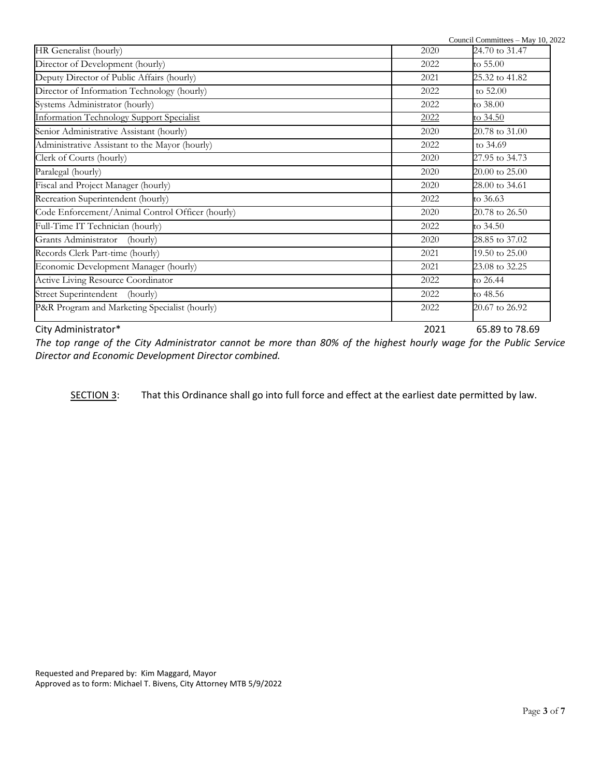| City Administrator*                              | 2021 | 65.89 to 78.69 |
|--------------------------------------------------|------|----------------|
| P&R Program and Marketing Specialist (hourly)    | 2022 | 20.67 to 26.92 |
| Street Superintendent (hourly)                   | 2022 | to 48.56       |
| Active Living Resource Coordinator               | 2022 | to 26.44       |
| Economic Development Manager (hourly)            | 2021 | 23.08 to 32.25 |
| Records Clerk Part-time (hourly)                 | 2021 | 19.50 to 25.00 |
| Grants Administrator (hourly)                    | 2020 | 28.85 to 37.02 |
| Full-Time IT Technician (hourly)                 | 2022 | to 34.50       |
| Code Enforcement/Animal Control Officer (hourly) | 2020 | 20.78 to 26.50 |
| Recreation Superintendent (hourly)               | 2022 | to 36.63       |
| Fiscal and Project Manager (hourly)              | 2020 | 28.00 to 34.61 |
| Paralegal (hourly)                               | 2020 | 20.00 to 25.00 |
| Clerk of Courts (hourly)                         | 2020 | 27.95 to 34.73 |
| Administrative Assistant to the Mayor (hourly)   | 2022 | to 34.69       |
| Senior Administrative Assistant (hourly)         | 2020 | 20.78 to 31.00 |
| <b>Information Technology Support Specialist</b> | 2022 | to 34.50       |
| Systems Administrator (hourly)                   | 2022 | to 38.00       |
| Director of Information Technology (hourly)      | 2022 | to 52.00       |
| Deputy Director of Public Affairs (hourly)       | 2021 | 25.32 to 41.82 |
| Director of Development (hourly)                 | 2022 | to $55.00$     |
| HR Generalist (hourly)                           | 2020 | 24.70 to 31.47 |

*The top range of the City Administrator cannot be more than 80% of the highest hourly wage for the Public Service Director and Economic Development Director combined.*

SECTION 3: That this Ordinance shall go into full force and effect at the earliest date permitted by law.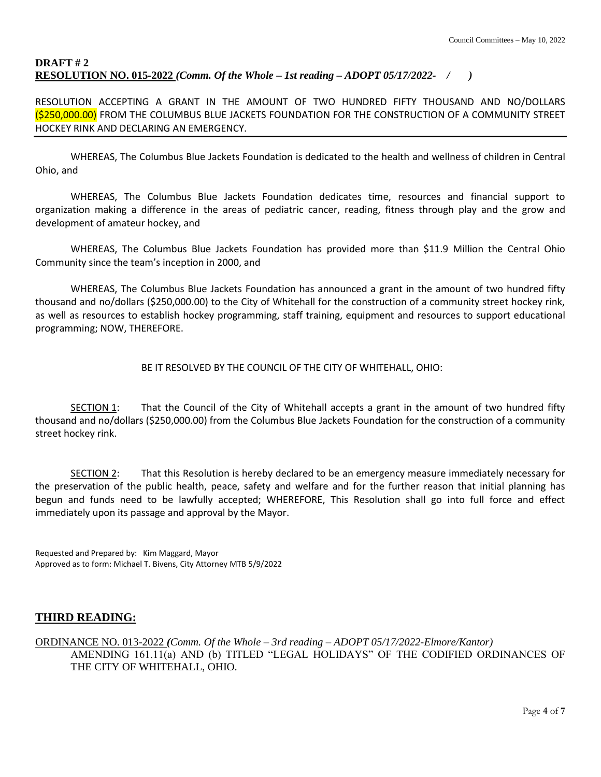### **DRAFT # 2 RESOLUTION NO. 015-2022** *(Comm. Of the Whole – 1st reading – ADOPT 05/17/2022- / )*

RESOLUTION ACCEPTING A GRANT IN THE AMOUNT OF TWO HUNDRED FIFTY THOUSAND AND NO/DOLLARS (\$250,000.00) FROM THE COLUMBUS BLUE JACKETS FOUNDATION FOR THE CONSTRUCTION OF A COMMUNITY STREET HOCKEY RINK AND DECLARING AN EMERGENCY.

WHEREAS, The Columbus Blue Jackets Foundation is dedicated to the health and wellness of children in Central Ohio, and

WHEREAS, The Columbus Blue Jackets Foundation dedicates time, resources and financial support to organization making a difference in the areas of pediatric cancer, reading, fitness through play and the grow and development of amateur hockey, and

WHEREAS, The Columbus Blue Jackets Foundation has provided more than \$11.9 Million the Central Ohio Community since the team's inception in 2000, and

WHEREAS, The Columbus Blue Jackets Foundation has announced a grant in the amount of two hundred fifty thousand and no/dollars (\$250,000.00) to the City of Whitehall for the construction of a community street hockey rink, as well as resources to establish hockey programming, staff training, equipment and resources to support educational programming; NOW, THEREFORE.

#### BE IT RESOLVED BY THE COUNCIL OF THE CITY OF WHITEHALL, OHIO:

SECTION 1: That the Council of the City of Whitehall accepts a grant in the amount of two hundred fifty thousand and no/dollars (\$250,000.00) from the Columbus Blue Jackets Foundation for the construction of a community street hockey rink.

SECTION 2: That this Resolution is hereby declared to be an emergency measure immediately necessary for the preservation of the public health, peace, safety and welfare and for the further reason that initial planning has begun and funds need to be lawfully accepted; WHEREFORE, This Resolution shall go into full force and effect immediately upon its passage and approval by the Mayor.

Requested and Prepared by: Kim Maggard, Mayor Approved as to form: Michael T. Bivens, City Attorney MTB 5/9/2022

### **THIRD READING:**

ORDINANCE NO. 013-2022 *(Comm. Of the Whole – 3rd reading – ADOPT 05/17/2022-Elmore/Kantor)* AMENDING 161.11(a) AND (b) TITLED "LEGAL HOLIDAYS" OF THE CODIFIED ORDINANCES OF THE CITY OF WHITEHALL, OHIO.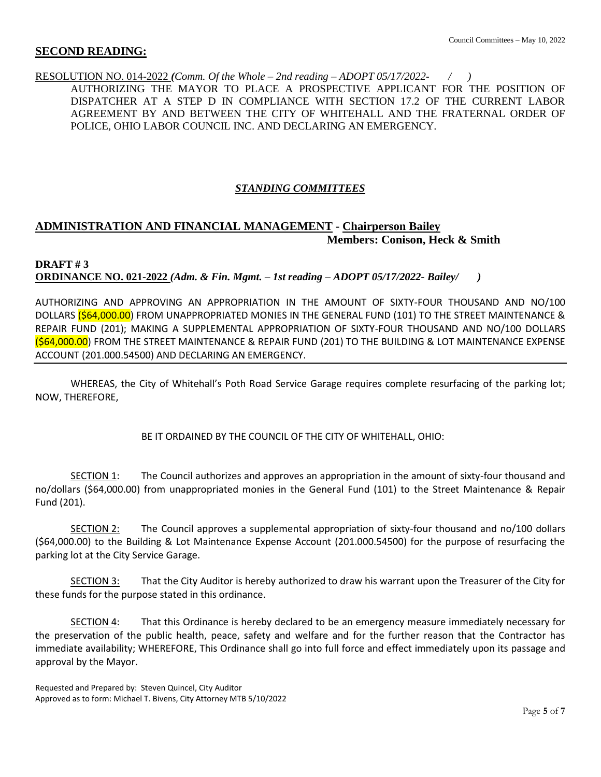### **SECOND READING:**

RESOLUTION NO. 014-2022 *(Comm. Of the Whole – 2nd reading – ADOPT 05/17/2022- / )* AUTHORIZING THE MAYOR TO PLACE A PROSPECTIVE APPLICANT FOR THE POSITION OF DISPATCHER AT A STEP D IN COMPLIANCE WITH SECTION 17.2 OF THE CURRENT LABOR AGREEMENT BY AND BETWEEN THE CITY OF WHITEHALL AND THE FRATERNAL ORDER OF POLICE, OHIO LABOR COUNCIL INC. AND DECLARING AN EMERGENCY.

### *STANDING COMMITTEES*

# **ADMINISTRATION AND FINANCIAL MANAGEMENT - Chairperson Bailey Members: Conison, Heck & Smith**

### **DRAFT # 3 ORDINANCE NO. 021-2022** *(Adm. & Fin. Mgmt. – 1st reading – ADOPT 05/17/2022- Bailey/ )*

AUTHORIZING AND APPROVING AN APPROPRIATION IN THE AMOUNT OF SIXTY-FOUR THOUSAND AND NO/100 DOLLARS (\$64,000.00) FROM UNAPPROPRIATED MONIES IN THE GENERAL FUND (101) TO THE STREET MAINTENANCE & REPAIR FUND (201); MAKING A SUPPLEMENTAL APPROPRIATION OF SIXTY-FOUR THOUSAND AND NO/100 DOLLARS (\$64,000.00) FROM THE STREET MAINTENANCE & REPAIR FUND (201) TO THE BUILDING & LOT MAINTENANCE EXPENSE ACCOUNT (201.000.54500) AND DECLARING AN EMERGENCY.

WHEREAS, the City of Whitehall's Poth Road Service Garage requires complete resurfacing of the parking lot; NOW, THEREFORE,

BE IT ORDAINED BY THE COUNCIL OF THE CITY OF WHITEHALL, OHIO:

SECTION 1: The Council authorizes and approves an appropriation in the amount of sixty-four thousand and no/dollars (\$64,000.00) from unappropriated monies in the General Fund (101) to the Street Maintenance & Repair Fund (201).

SECTION 2: The Council approves a supplemental appropriation of sixty-four thousand and no/100 dollars (\$64,000.00) to the Building & Lot Maintenance Expense Account (201.000.54500) for the purpose of resurfacing the parking lot at the City Service Garage.

SECTION 3: That the City Auditor is hereby authorized to draw his warrant upon the Treasurer of the City for these funds for the purpose stated in this ordinance.

SECTION 4: That this Ordinance is hereby declared to be an emergency measure immediately necessary for the preservation of the public health, peace, safety and welfare and for the further reason that the Contractor has immediate availability; WHEREFORE, This Ordinance shall go into full force and effect immediately upon its passage and approval by the Mayor.

Requested and Prepared by: Steven Quincel, City Auditor Approved as to form: Michael T. Bivens, City Attorney MTB 5/10/2022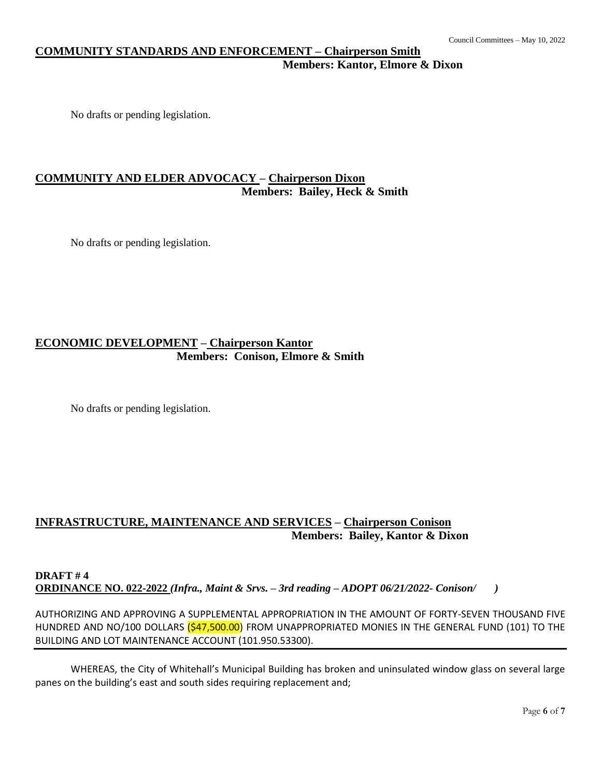# **COMMUNITY STANDARDS AND ENFORCEMENT – Chairperson Smith Members: Kantor, Elmore & Dixon**

No drafts or pending legislation.

# **COMMUNITY AND ELDER ADVOCACY – Chairperson Dixon Members: Bailey, Heck & Smith**

No drafts or pending legislation.

# **ECONOMIC DEVELOPMENT – Chairperson Kantor Members: Conison, Elmore & Smith**

No drafts or pending legislation.

# **INFRASTRUCTURE, MAINTENANCE AND SERVICES – Chairperson Conison Members: Bailey, Kantor & Dixon**

#### **DRAFT # 4 ORDINANCE NO. 022-2022** *(Infra., Maint & Srvs. – 3rd reading – ADOPT 06/21/2022- Conison/ )*

AUTHORIZING AND APPROVING A SUPPLEMENTAL APPROPRIATION IN THE AMOUNT OF FORTY-SEVEN THOUSAND FIVE HUNDRED AND NO/100 DOLLARS (\$47,500.00) FROM UNAPPROPRIATED MONIES IN THE GENERAL FUND (101) TO THE BUILDING AND LOT MAINTENANCE ACCOUNT (101.950.53300).

WHEREAS, the City of Whitehall's Municipal Building has broken and uninsulated window glass on several large panes on the building's east and south sides requiring replacement and;